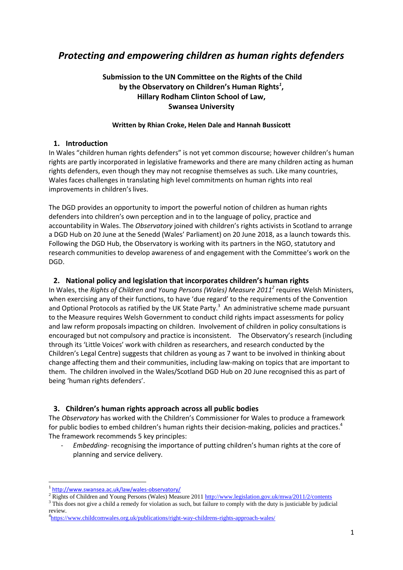# *Protecting and empowering children as human rights defenders*

# **Submission to the UN Committee on the Rights of the Child by the Observatory on Children's Human Rights***<sup>1</sup>* **, Hillary Rodham Clinton School of Law, Swansea University**

### **Written by Rhian Croke, Helen Dale and Hannah Bussicott**

## **1. Introduction**

In Wales "children human rights defenders" is not yet common discourse; however children's human rights are partly incorporated in legislative frameworks and there are many children acting as human rights defenders, even though they may not recognise themselves as such. Like many countries, Wales faces challenges in translating high level commitments on human rights into real improvements in children's lives.

The DGD provides an opportunity to import the powerful notion of children as human rights defenders into children's own perception and in to the language of policy, practice and accountability in Wales. The *Observatory* joined with children's rights activists in Scotland to arrange a DGD Hub on 20 June at the Senedd (Wales' Parliament) on 20 June 2018, as a launch towards this. Following the DGD Hub, the Observatory is working with its partners in the NGO, statutory and research communities to develop awareness of and engagement with the Committee's work on the DGD.

# **2. National policy and legislation that incorporates children's human rights**

In Wales, the *Rights of Children and Young Persons (Wales) Measure 2011<sup>2</sup>* requires Welsh Ministers, when exercising any of their functions, to have 'due regard' to the requirements of the Convention and Optional Protocols as ratified by the UK State Party. $^3$  An administrative scheme made pursuant to the Measure requires Welsh Government to conduct child rights impact assessments for policy and law reform proposals impacting on children. Involvement of children in policy consultations is encouraged but not compulsory and practice is inconsistent. The Observatory's research (including through its 'Little Voices' work with children as researchers, and research conducted by the Children's Legal Centre) suggests that children as young as 7 want to be involved in thinking about change affecting them and their communities, including law-making on topics that are important to them. The children involved in the Wales/Scotland DGD Hub on 20 June recognised this as part of being 'human rights defenders'.

# **3. Children's human rights approach across all public bodies**

The *Observatory* has worked with the Children's Commissioner for Wales to produce a framework for public bodies to embed children's human rights their decision-making, policies and practices.<sup>4</sup> The framework recommends 5 key principles:

- *Embedding-* recognising the importance of putting children's human rights at the core of planning and service delivery.

 $\overline{a}$ 

<sup>1</sup> <http://www.swansea.ac.uk/law/wales-observatory/>

<sup>&</sup>lt;sup>2</sup> Rights of Children and Young Persons (Wales) Measure 2011<http://www.legislation.gov.uk/mwa/2011/2/contents>

<sup>3</sup> This does not give a child a remedy for violation as such, but failure to comply with the duty is justiciable by judicial review.

<sup>&</sup>lt;sup>4</sup><https://www.childcomwales.org.uk/publications/right-way-childrens-rights-approach-wales/>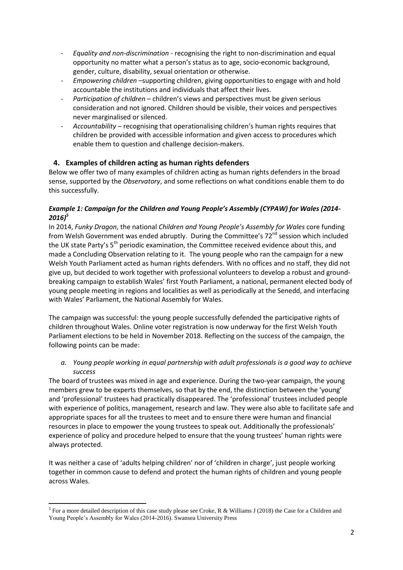- *Equality and non-discrimination* recognising the right to non-discrimination and equal opportunity no matter what a person's status as to age, socio-economic background, gender, culture, disability, sexual orientation or otherwise.
- *Empowering children* –supporting children, giving opportunities to engage with and hold accountable the institutions and individuals that affect their lives.
- *Participation of children*  children's views and perspectives must be given serious consideration and not ignored. Children should be visible, their voices and perspectives never marginalised or silenced.
- *Accountability* recognising that operationalising children's human rights requires that children be provided with accessible information and given access to procedures which enable them to question and challenge decision-makers.

# **4. Examples of children acting as human rights defenders**

Below we offer two of many examples of children acting as human rights defenders in the broad sense, supported by the *Observatory*, and some reflections on what conditions enable them to do this successfully.

## *Example 1: Campaign for the Children and Young People's Assembly (CYPAW) for Wales (2014- 2016)<sup>5</sup>*

In 2014, *Funky Dragon*, the national *Children and Young People's Assembly for Wales* core funding from Welsh Government was ended abruptly. During the Committee's 72<sup>nd</sup> session which included the UK state Party's 5<sup>th</sup> periodic examination, the Committee received evidence about this, and made a Concluding Observation relating to it. The young people who ran the campaign for a new Welsh Youth Parliament acted as human rights defenders. With no offices and no staff, they did not give up, but decided to work together with professional volunteers to develop a robust and groundbreaking campaign to establish Wales' first Youth Parliament, a national, permanent elected body of young people meeting in regions and localities as well as periodically at the Senedd, and interfacing with Wales' Parliament, the National Assembly for Wales.

The campaign was successful: the young people successfully defended the participative rights of children throughout Wales. Online voter registration is now underway for the first Welsh Youth Parliament elections to be held in November 2018. Reflecting on the success of the campaign, the following points can be made:

## *a. Young people working in equal partnership with adult professionals is a good way to achieve success*

The board of trustees was mixed in age and experience. During the two-year campaign, the young members grew to be experts themselves, so that by the end, the distinction between the 'young' and 'professional' trustees had practically disappeared. The 'professional' trustees included people with experience of politics, management, research and law. They were also able to facilitate safe and appropriate spaces for all the trustees to meet and to ensure there were human and financial resources in place to empower the young trustees to speak out. Additionally the professionals' experience of policy and procedure helped to ensure that the young trustees' human rights were always protected.

It was neither a case of 'adults helping children' nor of 'children in charge', just people working together in common cause to defend and protect the human rights of children and young people across Wales.

**<sup>.</sup>** <sup>5</sup> For a more detailed description of this case study please see Croke, R & Williams J (2018) the Case for a Children and Young People's Assembly for Wales (2014-2016). Swansea University Press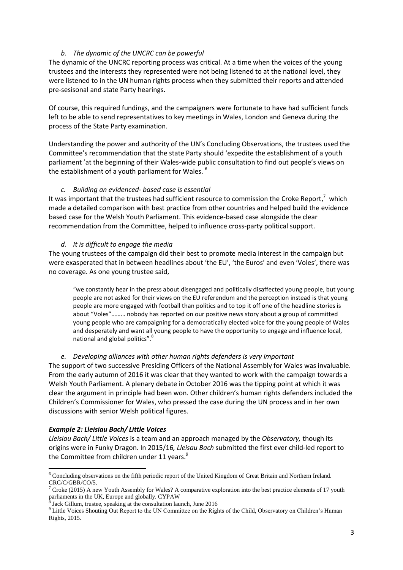#### *b. The dynamic of the UNCRC can be powerful*

The dynamic of the UNCRC reporting process was critical. At a time when the voices of the young trustees and the interests they represented were not being listened to at the national level, they were listened to in the UN human rights process when they submitted their reports and attended pre-sesisonal and state Party hearings.

Of course, this required fundings, and the campaigners were fortunate to have had sufficient funds left to be able to send representatives to key meetings in Wales, London and Geneva during the process of the State Party examination.

Understanding the power and authority of the UN's Concluding Observations, the trustees used the Committee's recommendation that the state Party should 'expedite the establishment of a youth parliament 'at the beginning of their Wales-wide public consultation to find out people's views on the establishment of a youth parliament for Wales.<sup>6</sup>

#### *c. Building an evidenced- based case is essential*

It was important that the trustees had sufficient resource to commission the Croke Report,<sup>7</sup> which made a detailed comparison with best practice from other countries and helped build the evidence based case for the Welsh Youth Parliament. This evidence-based case alongside the clear recommendation from the Committee, helped to influence cross-party political support.

#### *d. It is difficult to engage the media*

The young trustees of the campaign did their best to promote media interest in the campaign but were exasperated that in between headlines about 'the EU', 'the Euros' and even 'Voles', there was no coverage. As one young trustee said,

"we constantly hear in the press about disengaged and politically disaffected young people, but young people are not asked for their views on the EU referendum and the perception instead is that young people are more engaged with football than politics and to top it off one of the headline stories is about "Voles"……… nobody has reported on our positive news story about a group of committed young people who are campaigning for a democratically elected voice for the young people of Wales and desperately and want all young people to have the opportunity to engage and influence local, national and global politics".<sup>8</sup>

#### *e. Developing alliances with other human rights defenders is very important*

The support of two successive Presiding Officers of the National Assembly for Wales was invaluable. From the early autumn of 2016 it was clear that they wanted to work with the campaign towards a Welsh Youth Parliament. A plenary debate in October 2016 was the tipping point at which it was clear the argument in principle had been won. Other children's human rights defenders included the Children's Commissioner for Wales, who pressed the case during the UN process and in her own discussions with senior Welsh political figures.

#### *Example 2: Lleisiau Bach/ Little Voices*

*Lleisiau Bach/ Little Voices* is a team and an approach managed by the *Observatory,* though its origins were in Funky Dragon. In 2015/16*, Lleisau Bach* submitted the first ever child-led report to the Committee from children under 11 years.<sup>9</sup>

**<sup>.</sup>** <sup>6</sup> Concluding observations on the fifth periodic report of the United Kingdom of Great Britain and Northern Ireland. CRC/C/GBR/CO/5.

<sup>&</sup>lt;sup>7</sup> Croke (2015) A new Youth Assembly for Wales? A comparative exploration into the best practice elements of 17 youth parliaments in the UK, Europe and globally. CYPAW

Jack Gillum, trustee, speaking at the consultation launch, June 2016

<sup>&</sup>lt;sup>9</sup> Little Voices Shouting Out Report to the UN Committee on the Rights of the Child, Observatory on Children's Human Rights, 2015.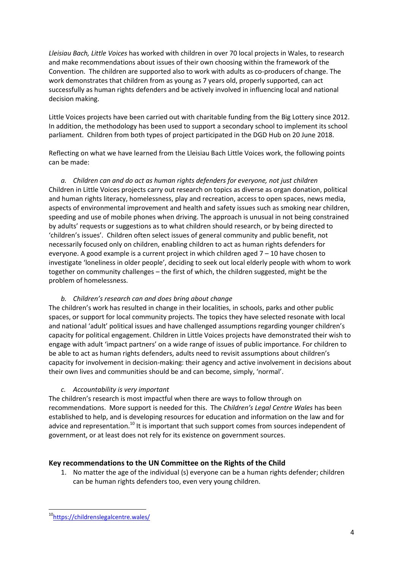*Lleisiau Bach, Little Voices* has worked with children in over 70 local projects in Wales, to research and make recommendations about issues of their own choosing within the framework of the Convention. The children are supported also to work with adults as co-producers of change. The work demonstrates that children from as young as 7 years old, properly supported, can act successfully as human rights defenders and be actively involved in influencing local and national decision making.

Little Voices projects have been carried out with charitable funding from the Big Lottery since 2012. In addition, the methodology has been used to support a secondary school to implement its school parliament. Children from both types of project participated in the DGD Hub on 20 June 2018.

Reflecting on what we have learned from the Lleisiau Bach Little Voices work, the following points can be made:

*a. Children can and do act as human rights defenders for everyone, not just children* Children in Little Voices projects carry out research on topics as diverse as organ donation, political and human rights literacy, homelessness, play and recreation, access to open spaces, news media, aspects of environmental improvement and health and safety issues such as smoking near children, speeding and use of mobile phones when driving. The approach is unusual in not being constrained by adults' requests or suggestions as to what children should research, or by being directed to 'children's issues'. Children often select issues of general community and public benefit, not necessarily focused only on children, enabling children to act as human rights defenders for everyone. A good example is a current project in which children aged  $7 - 10$  have chosen to investigate 'loneliness in older people', deciding to seek out local elderly people with whom to work together on community challenges – the first of which, the children suggested, might be the problem of homelessness.

## *b. Children's research can and does bring about change*

The children's work has resulted in change in their localities, in schools, parks and other public spaces, or support for local community projects. The topics they have selected resonate with local and national 'adult' political issues and have challenged assumptions regarding younger children's capacity for political engagement. Children in Little Voices projects have demonstrated their wish to engage with adult 'impact partners' on a wide range of issues of public importance. For children to be able to act as human rights defenders, adults need to revisit assumptions about children's capacity for involvement in decision-making: their agency and active involvement in decisions about their own lives and communities should be and can become, simply, 'normal'.

## *c. Accountability is very important*

The children's research is most impactful when there are ways to follow through on recommendations. More support is needed for this. The *Children's Legal Centre Wales* has been established to help, and is developing resources for education and information on the law and for advice and representation.<sup>10</sup> It is important that such support comes from sources independent of government, or at least does not rely for its existence on government sources.

# **Key recommendations to the UN Committee on the Rights of the Child**

1. No matter the age of the individual (s) everyone can be a human rights defender; children can be human rights defenders too, even very young children.

**<sup>.</sup>** <sup>10</sup><https://childrenslegalcentre.wales/>